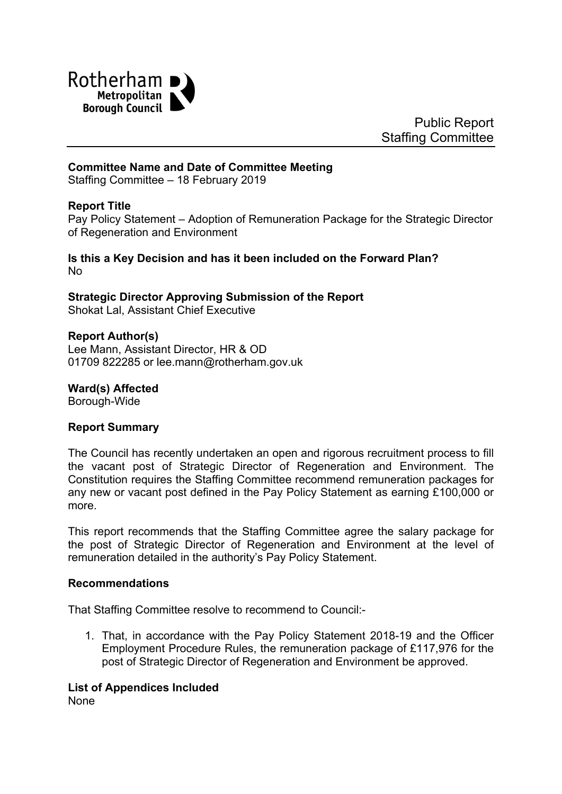

Public Report Staffing Committee

#### **Committee Name and Date of Committee Meeting**

Staffing Committee – 18 February 2019

#### **Report Title**

<span id="page-0-0"></span>Pay Policy Statement – Adoption of Remuneration Package for the Strategic Director of Regeneration and Environment

**Is this a Key Decision and has it been included on the Forward Plan?** No

**Strategic Director Approving Submission of the Report** Shokat Lal, Assistant Chief Executive

#### **Report Author(s)**

Lee Mann, Assistant Director, HR & OD 01709 822285 or lee.mann@rotherham.gov.uk

**Ward(s) Affected**

Borough-Wide

#### **Report Summary**

The Council has recently undertaken an open and rigorous recruitment process to fill the vacant post of Strategic Director of Regeneration and Environment. The Constitution requires the Staffing Committee recommend remuneration packages for any new or vacant post defined in the Pay Policy Statement as earning £100,000 or more.

This report recommends that the Staffing Committee agree the salary package for the post of Strategic Director of Regeneration and Environment at the level of remuneration detailed in the authority's Pay Policy Statement.

#### **Recommendations**

That Staffing Committee resolve to recommend to Council:-

1. That, in accordance with the Pay Policy Statement 2018-19 and the Officer Employment Procedure Rules, the remuneration package of £117,976 for the post of Strategic Director of Regeneration and Environment be approved.

#### **List of Appendices Included**

None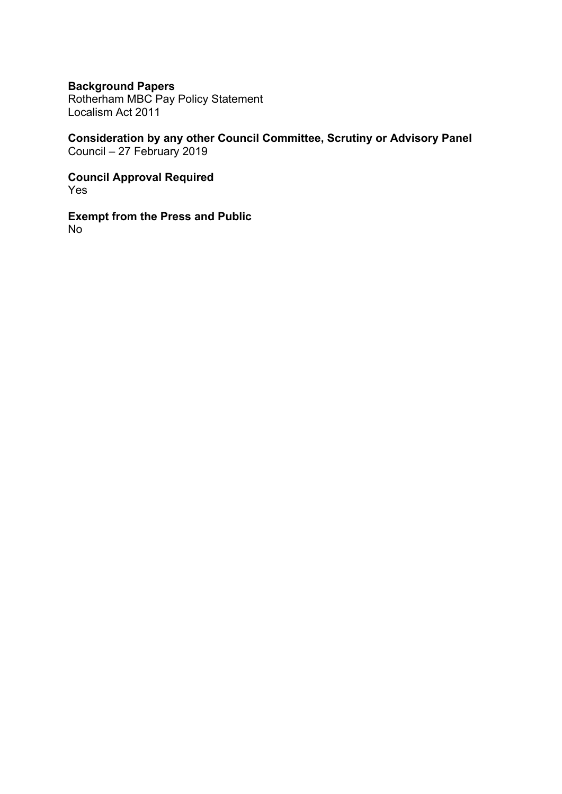## **Background Papers**

Rotherham MBC Pay Policy Statement Localism Act 2011

**Consideration by any other Council Committee, Scrutiny or Advisory Panel** Council – 27 February 2019

**Council Approval Required** Yes

**Exempt from the Press and Public** No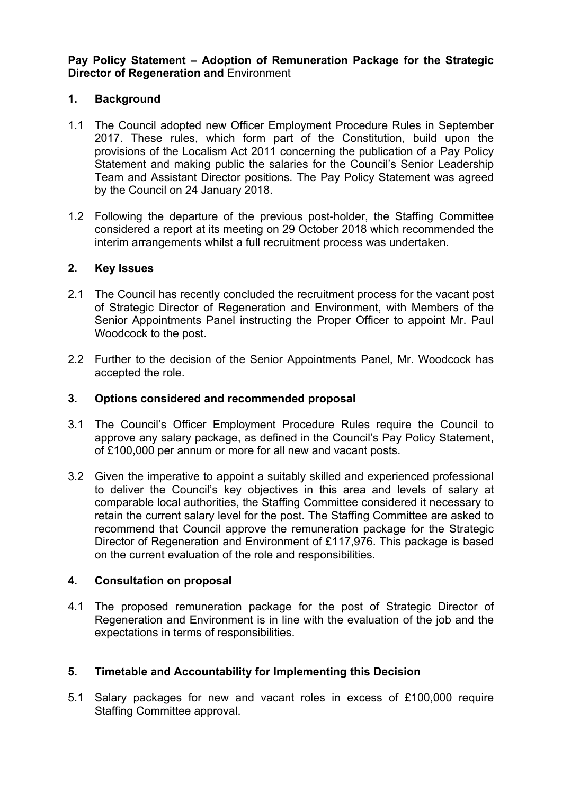**Pay Policy Statement – Adoption of [Remuneration](#page-0-0) Package for the Strategic Director of [Regeneration](#page-0-0) and** Environment

## **1. Background**

- 1.1 The Council adopted new Officer Employment Procedure Rules in September 2017. These rules, which form part of the Constitution, build upon the provisions of the Localism Act 2011 concerning the publication of a Pay Policy Statement and making public the salaries for the Council's Senior Leadership Team and Assistant Director positions. The Pay Policy Statement was agreed by the Council on 24 January 2018.
- 1.2 Following the departure of the previous post-holder, the Staffing Committee considered a report at its meeting on 29 October 2018 which recommended the interim arrangements whilst a full recruitment process was undertaken.

### **2. Key Issues**

- 2.1 The Council has recently concluded the recruitment process for the vacant post of Strategic Director of Regeneration and Environment, with Members of the Senior Appointments Panel instructing the Proper Officer to appoint Mr. Paul Woodcock to the post.
- 2.2 Further to the decision of the Senior Appointments Panel, Mr. Woodcock has accepted the role.

### **3. Options considered and recommended proposal**

- 3.1 The Council's Officer Employment Procedure Rules require the Council to approve any salary package, as defined in the Council's Pay Policy Statement, of £100,000 per annum or more for all new and vacant posts.
- 3.2 Given the imperative to appoint a suitably skilled and experienced professional to deliver the Council's key objectives in this area and levels of salary at comparable local authorities, the Staffing Committee considered it necessary to retain the current salary level for the post. The Staffing Committee are asked to recommend that Council approve the remuneration package for the Strategic Director of Regeneration and Environment of £117,976. This package is based on the current evaluation of the role and responsibilities.

### **4. Consultation on proposal**

4.1 The proposed remuneration package for the post of Strategic Director of Regeneration and Environment is in line with the evaluation of the job and the expectations in terms of responsibilities.

### **5. Timetable and Accountability for Implementing this Decision**

5.1 Salary packages for new and vacant roles in excess of £100,000 require Staffing Committee approval.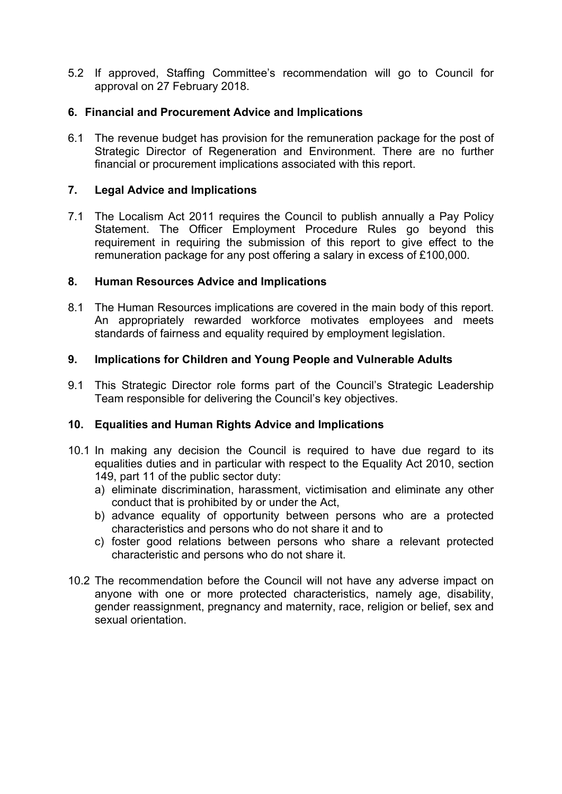5.2 If approved, Staffing Committee's recommendation will go to Council for approval on 27 February 2018.

## **6. Financial and Procurement Advice and Implications**

6.1 The revenue budget has provision for the remuneration package for the post of Strategic Director of Regeneration and Environment. There are no further financial or procurement implications associated with this report.

## **7. Legal Advice and Implications**

7.1 The Localism Act 2011 requires the Council to publish annually a Pay Policy Statement. The Officer Employment Procedure Rules go beyond this requirement in requiring the submission of this report to give effect to the remuneration package for any post offering a salary in excess of £100,000.

### **8. Human Resources Advice and Implications**

8.1 The Human Resources implications are covered in the main body of this report. An appropriately rewarded workforce motivates employees and meets standards of fairness and equality required by employment legislation.

## **9. Implications for Children and Young People and Vulnerable Adults**

9.1 This Strategic Director role forms part of the Council's Strategic Leadership Team responsible for delivering the Council's key objectives.

### **10. Equalities and Human Rights Advice and Implications**

- 10.1 In making any decision the Council is required to have due regard to its equalities duties and in particular with respect to the Equality Act 2010, section 149, part 11 of the public sector duty:
	- a) eliminate discrimination, harassment, victimisation and eliminate any other conduct that is prohibited by or under the Act,
	- b) advance equality of opportunity between persons who are a protected characteristics and persons who do not share it and to
	- c) foster good relations between persons who share a relevant protected characteristic and persons who do not share it.
- 10.2 The recommendation before the Council will not have any adverse impact on anyone with one or more protected characteristics, namely age, disability, gender reassignment, pregnancy and maternity, race, religion or belief, sex and sexual orientation.